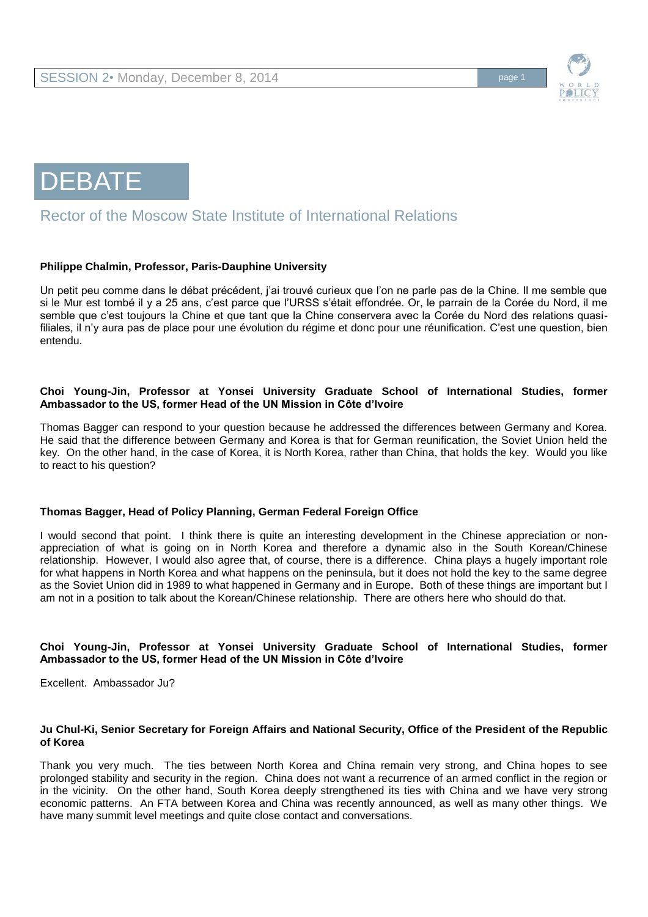



# Rector of the Moscow State Institute of International Relations

## **Philippe Chalmin, Professor, Paris-Dauphine University**

Un petit peu comme dans le débat précédent, j'ai trouvé curieux que l'on ne parle pas de la Chine. Il me semble que si le Mur est tombé il y a 25 ans, c'est parce que l'URSS s'était effondrée. Or, le parrain de la Corée du Nord, il me semble que c'est toujours la Chine et que tant que la Chine conservera avec la Corée du Nord des relations quasifiliales, il n'y aura pas de place pour une évolution du régime et donc pour une réunification. C'est une question, bien entendu.

## **Choi Young-Jin, Professor at Yonsei University Graduate School of International Studies, former Ambassador to the US, former Head of the UN Mission in Côte d'Ivoire**

Thomas Bagger can respond to your question because he addressed the differences between Germany and Korea. He said that the difference between Germany and Korea is that for German reunification, the Soviet Union held the key. On the other hand, in the case of Korea, it is North Korea, rather than China, that holds the key. Would you like to react to his question?

#### **Thomas Bagger, Head of Policy Planning, German Federal Foreign Office**

I would second that point. I think there is quite an interesting development in the Chinese appreciation or nonappreciation of what is going on in North Korea and therefore a dynamic also in the South Korean/Chinese relationship. However, I would also agree that, of course, there is a difference. China plays a hugely important role for what happens in North Korea and what happens on the peninsula, but it does not hold the key to the same degree as the Soviet Union did in 1989 to what happened in Germany and in Europe. Both of these things are important but I am not in a position to talk about the Korean/Chinese relationship. There are others here who should do that.

#### **Choi Young-Jin, Professor at Yonsei University Graduate School of International Studies, former Ambassador to the US, former Head of the UN Mission in Côte d'Ivoire**

Excellent. Ambassador Ju?

#### **Ju Chul-Ki, Senior Secretary for Foreign Affairs and National Security, Office of the President of the Republic of Korea**

Thank you very much. The ties between North Korea and China remain very strong, and China hopes to see prolonged stability and security in the region. China does not want a recurrence of an armed conflict in the region or in the vicinity. On the other hand, South Korea deeply strengthened its ties with China and we have very strong economic patterns. An FTA between Korea and China was recently announced, as well as many other things. We have many summit level meetings and quite close contact and conversations.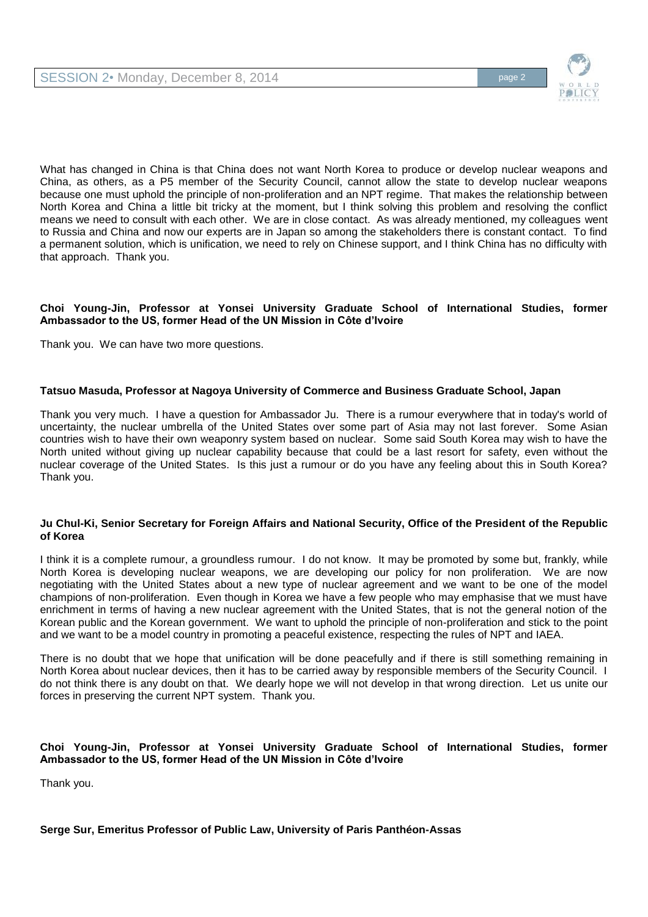

What has changed in China is that China does not want North Korea to produce or develop nuclear weapons and China, as others, as a P5 member of the Security Council, cannot allow the state to develop nuclear weapons because one must uphold the principle of non-proliferation and an NPT regime. That makes the relationship between North Korea and China a little bit tricky at the moment, but I think solving this problem and resolving the conflict means we need to consult with each other. We are in close contact. As was already mentioned, my colleagues went to Russia and China and now our experts are in Japan so among the stakeholders there is constant contact. To find a permanent solution, which is unification, we need to rely on Chinese support, and I think China has no difficulty with that approach. Thank you.

## **Choi Young-Jin, Professor at Yonsei University Graduate School of International Studies, former Ambassador to the US, former Head of the UN Mission in Côte d'Ivoire**

Thank you. We can have two more questions.

## **Tatsuo Masuda, Professor at Nagoya University of Commerce and Business Graduate School, Japan**

Thank you very much. I have a question for Ambassador Ju. There is a rumour everywhere that in today's world of uncertainty, the nuclear umbrella of the United States over some part of Asia may not last forever. Some Asian countries wish to have their own weaponry system based on nuclear. Some said South Korea may wish to have the North united without giving up nuclear capability because that could be a last resort for safety, even without the nuclear coverage of the United States. Is this just a rumour or do you have any feeling about this in South Korea? Thank you.

#### **Ju Chul-Ki, Senior Secretary for Foreign Affairs and National Security, Office of the President of the Republic of Korea**

I think it is a complete rumour, a groundless rumour. I do not know. It may be promoted by some but, frankly, while North Korea is developing nuclear weapons, we are developing our policy for non proliferation. We are now negotiating with the United States about a new type of nuclear agreement and we want to be one of the model champions of non-proliferation. Even though in Korea we have a few people who may emphasise that we must have enrichment in terms of having a new nuclear agreement with the United States, that is not the general notion of the Korean public and the Korean government. We want to uphold the principle of non-proliferation and stick to the point and we want to be a model country in promoting a peaceful existence, respecting the rules of NPT and IAEA.

There is no doubt that we hope that unification will be done peacefully and if there is still something remaining in North Korea about nuclear devices, then it has to be carried away by responsible members of the Security Council. I do not think there is any doubt on that. We dearly hope we will not develop in that wrong direction. Let us unite our forces in preserving the current NPT system. Thank you.

## **Choi Young-Jin, Professor at Yonsei University Graduate School of International Studies, former Ambassador to the US, former Head of the UN Mission in Côte d'Ivoire**

Thank you.

## **Serge Sur, Emeritus Professor of Public Law, University of Paris Panthéon-Assas**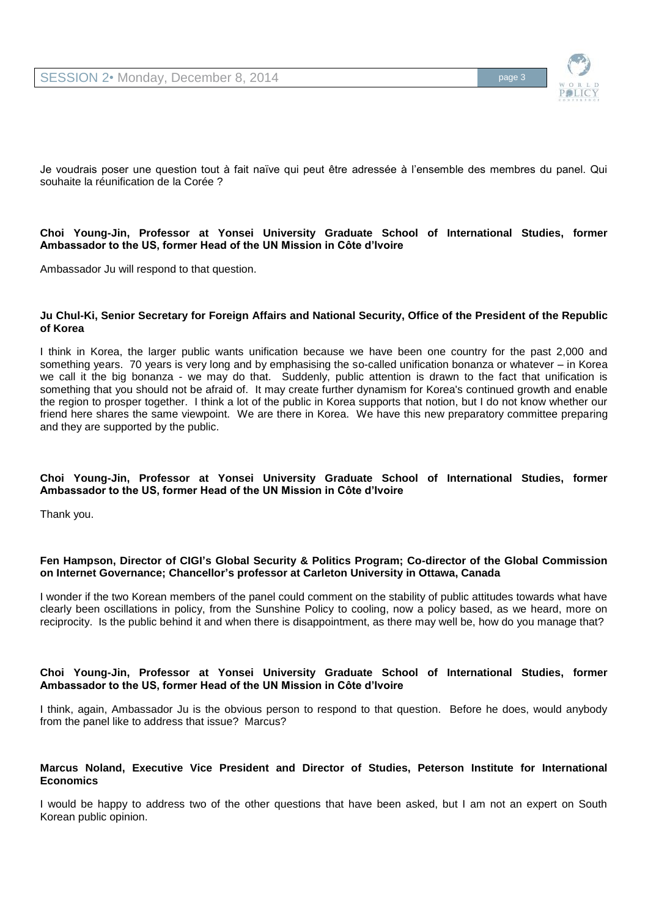

Je voudrais poser une question tout à fait naïve qui peut être adressée à l'ensemble des membres du panel. Qui souhaite la réunification de la Corée ?

#### **Choi Young-Jin, Professor at Yonsei University Graduate School of International Studies, former Ambassador to the US, former Head of the UN Mission in Côte d'Ivoire**

Ambassador Ju will respond to that question.

#### **Ju Chul-Ki, Senior Secretary for Foreign Affairs and National Security, Office of the President of the Republic of Korea**

I think in Korea, the larger public wants unification because we have been one country for the past 2,000 and something years. 70 years is very long and by emphasising the so-called unification bonanza or whatever – in Korea we call it the big bonanza - we may do that. Suddenly, public attention is drawn to the fact that unification is something that you should not be afraid of. It may create further dynamism for Korea's continued growth and enable the region to prosper together. I think a lot of the public in Korea supports that notion, but I do not know whether our friend here shares the same viewpoint. We are there in Korea. We have this new preparatory committee preparing and they are supported by the public.

#### **Choi Young-Jin, Professor at Yonsei University Graduate School of International Studies, former Ambassador to the US, former Head of the UN Mission in Côte d'Ivoire**

Thank you.

#### **Fen Hampson, Director of CIGI's Global Security & Politics Program; Co-director of the Global Commission on Internet Governance; Chancellor's professor at Carleton University in Ottawa, Canada**

I wonder if the two Korean members of the panel could comment on the stability of public attitudes towards what have clearly been oscillations in policy, from the Sunshine Policy to cooling, now a policy based, as we heard, more on reciprocity. Is the public behind it and when there is disappointment, as there may well be, how do you manage that?

#### **Choi Young-Jin, Professor at Yonsei University Graduate School of International Studies, former Ambassador to the US, former Head of the UN Mission in Côte d'Ivoire**

I think, again, Ambassador Ju is the obvious person to respond to that question. Before he does, would anybody from the panel like to address that issue? Marcus?

## **Marcus Noland, Executive Vice President and Director of Studies, Peterson Institute for International Economics**

I would be happy to address two of the other questions that have been asked, but I am not an expert on South Korean public opinion.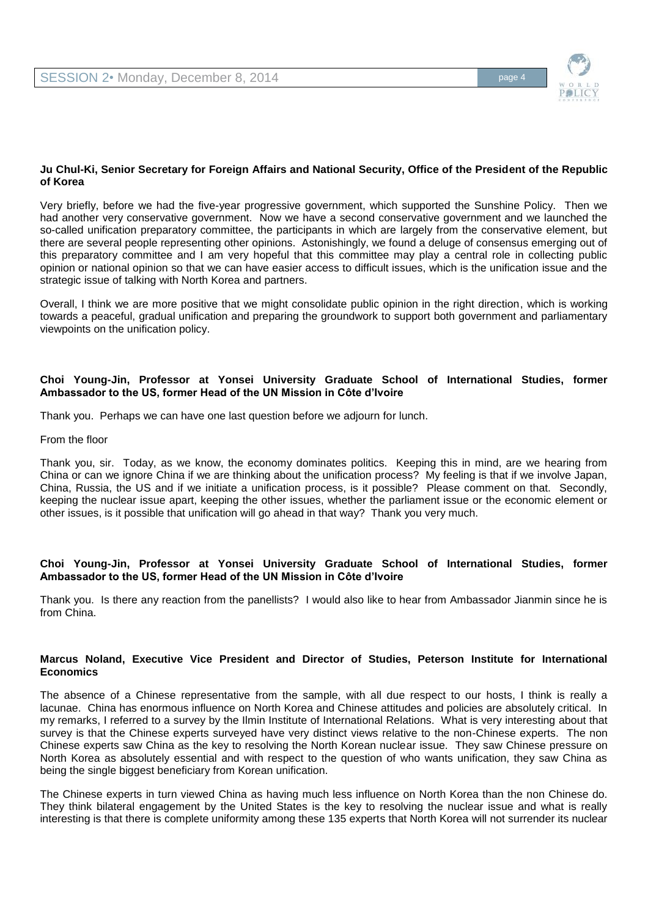

## **Ju Chul-Ki, Senior Secretary for Foreign Affairs and National Security, Office of the President of the Republic of Korea**

Very briefly, before we had the five-year progressive government, which supported the Sunshine Policy. Then we had another very conservative government. Now we have a second conservative government and we launched the so-called unification preparatory committee, the participants in which are largely from the conservative element, but there are several people representing other opinions. Astonishingly, we found a deluge of consensus emerging out of this preparatory committee and I am very hopeful that this committee may play a central role in collecting public opinion or national opinion so that we can have easier access to difficult issues, which is the unification issue and the strategic issue of talking with North Korea and partners.

Overall, I think we are more positive that we might consolidate public opinion in the right direction, which is working towards a peaceful, gradual unification and preparing the groundwork to support both government and parliamentary viewpoints on the unification policy.

## **Choi Young-Jin, Professor at Yonsei University Graduate School of International Studies, former Ambassador to the US, former Head of the UN Mission in Côte d'Ivoire**

Thank you. Perhaps we can have one last question before we adjourn for lunch.

From the floor

Thank you, sir. Today, as we know, the economy dominates politics. Keeping this in mind, are we hearing from China or can we ignore China if we are thinking about the unification process? My feeling is that if we involve Japan, China, Russia, the US and if we initiate a unification process, is it possible? Please comment on that. Secondly, keeping the nuclear issue apart, keeping the other issues, whether the parliament issue or the economic element or other issues, is it possible that unification will go ahead in that way? Thank you very much.

## **Choi Young-Jin, Professor at Yonsei University Graduate School of International Studies, former Ambassador to the US, former Head of the UN Mission in Côte d'Ivoire**

Thank you. Is there any reaction from the panellists? I would also like to hear from Ambassador Jianmin since he is from China.

## **Marcus Noland, Executive Vice President and Director of Studies, Peterson Institute for International Economics**

The absence of a Chinese representative from the sample, with all due respect to our hosts, I think is really a lacunae. China has enormous influence on North Korea and Chinese attitudes and policies are absolutely critical. In my remarks, I referred to a survey by the Ilmin Institute of International Relations. What is very interesting about that survey is that the Chinese experts surveyed have very distinct views relative to the non-Chinese experts. The non Chinese experts saw China as the key to resolving the North Korean nuclear issue. They saw Chinese pressure on North Korea as absolutely essential and with respect to the question of who wants unification, they saw China as being the single biggest beneficiary from Korean unification.

The Chinese experts in turn viewed China as having much less influence on North Korea than the non Chinese do. They think bilateral engagement by the United States is the key to resolving the nuclear issue and what is really interesting is that there is complete uniformity among these 135 experts that North Korea will not surrender its nuclear